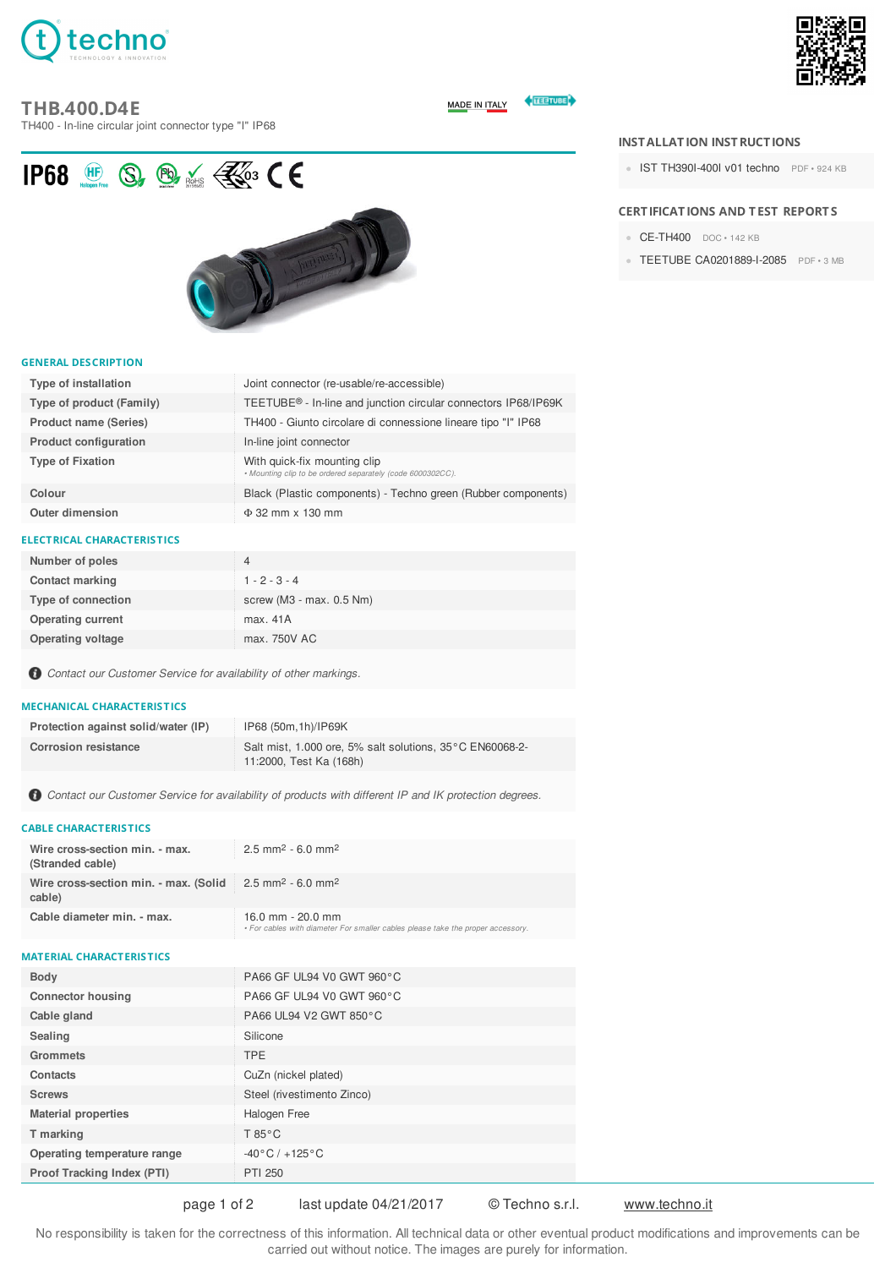

# **THB.400.D4E**

TH400 - In-line circular joint connector type "I" IP68



**ELECTUBE MADE IN ITALY** 

IP68  $\circledR$  Se  $\circledR$  is  $\circledR$  CE



#### **GENERAL DESCRIPTION**

| Type of installation         | Joint connector (re-usable/re-accessible)                                                  |
|------------------------------|--------------------------------------------------------------------------------------------|
| Type of product (Family)     | TEETUBE <sup>®</sup> - In-line and junction circular connectors IP68/IP69K                 |
| <b>Product name (Series)</b> | TH400 - Giunto circolare di connessione lineare tipo "I" IP68                              |
| <b>Product configuration</b> | In-line joint connector                                                                    |
| <b>Type of Fixation</b>      | With quick-fix mounting clip<br>. Mounting clip to be ordered separately (code 6000302CC). |
| Colour                       | Black (Plastic components) - Techno green (Rubber components)                              |
| <b>Outer dimension</b>       | $\Phi$ 32 mm x 130 mm                                                                      |

## **ELECTRICAL CHARACTERISTICS**

| Number of poles          | 4                             |
|--------------------------|-------------------------------|
| <b>Contact marking</b>   | $1 - 2 - 3 - 4$               |
| Type of connection       | screw ( $M3$ - max. $0.5$ Nm) |
| <b>Operating current</b> | max. 41A                      |
| <b>Operating voltage</b> | max. 750V AC                  |

*Contact our Customer Service for availability of other markings.*

#### **MECHANICAL CHARACTERISTICS**

| Protection against solid/water (IP) | IP68 (50m, 1h)/IP69K                                                                |
|-------------------------------------|-------------------------------------------------------------------------------------|
| <b>Corrosion resistance</b>         | Salt mist, 1.000 ore, 5% salt solutions, 35°C EN60068-2-<br>11:2000, Test Ka (168h) |

*Contact our Customer Service for availability of products with different IP and IK protection degrees.*

## **CABLE CHARACTERISTICS**

| Wire cross-section min. - max.<br>(Stranded cable)                                               | $2.5$ mm <sup>2</sup> - 6.0 mm <sup>2</sup>                                                            |
|--------------------------------------------------------------------------------------------------|--------------------------------------------------------------------------------------------------------|
| Wire cross-section min. - max. (Solid $\geq 2.5$ mm <sup>2</sup> - 6.0 mm <sup>2</sup><br>cable) |                                                                                                        |
| Cable diameter min. - max.                                                                       | 16.0 mm $-$ 20.0 mm<br>• For cables with diameter For smaller cables please take the proper accessory. |

## **MATERIAL CHARACTERISTICS**

| <b>Body</b>                 | PA66 GF UL94 V0 GWT 960°C        |
|-----------------------------|----------------------------------|
| <b>Connector housing</b>    | PA66 GF UL94 V0 GWT 960°C        |
| Cable gland                 | PA66 UL94 V2 GWT 850°C           |
| Sealing                     | Silicone                         |
| <b>Grommets</b>             | <b>TPE</b>                       |
| Contacts                    | CuZn (nickel plated)             |
| <b>Screws</b>               | Steel (rivestimento Zinco)       |
| <b>Material properties</b>  | Halogen Free                     |
| T marking                   | $T 85^{\circ}$ C                 |
| Operating temperature range | $-40\degree C$ / $+125\degree C$ |
| Proof Tracking Index (PTI)  | <b>PTI 250</b>                   |
|                             |                                  |

page 1 of 2 last update 04/21/2017 © Techno s.r.l. www.techno.it

No responsibility is taken for the correctness of this information. All technical data or other eventual product modifications and improvements can be carried out without notice. The images are purely for information.

# **INSTALLATION INSTRUCTIONS**

IST [TH390I-400I](http://www.techno.it//gallery/1385/IST_TH390I-400I_v01_techno.pdf) v01 techno PDF · 924 KB

## **CERTIFICATIONS AND TEST REPORTS**

- [CE-TH400](http://www.techno.it//gallery/1385/CE-TH400.doc) DOC · 142 KB
- TEETUBE [CA0201889-I-2085](http://www.techno.it//gallery/1385/TEETUBE_CA0201889-I-2085.pdf) PDF · 3 MB